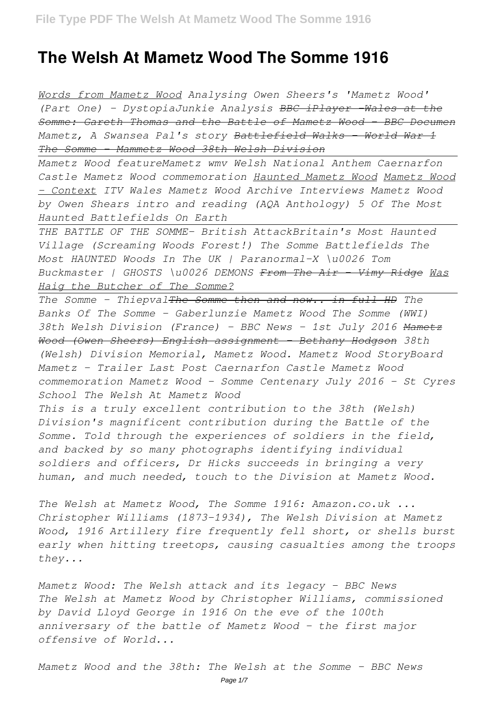## **The Welsh At Mametz Wood The Somme 1916**

*Words from Mametz Wood Analysing Owen Sheers's 'Mametz Wood' (Part One) - DystopiaJunkie Analysis BBC iPlayer -Wales at the Somme: Gareth Thomas and the Battle of Mametz Wood - BBC Documen Mametz, A Swansea Pal's story Battlefield Walks - World War 1 The Somme - Mammetz Wood 38th Welsh Division*

*Mametz Wood featureMametz wmv Welsh National Anthem Caernarfon Castle Mametz Wood commemoration Haunted Mametz Wood Mametz Wood - Context ITV Wales Mametz Wood Archive Interviews Mametz Wood by Owen Shears intro and reading (AQA Anthology) 5 Of The Most Haunted Battlefields On Earth*

*THE BATTLE OF THE SOMME- British AttackBritain's Most Haunted Village (Screaming Woods Forest!) The Somme Battlefields The Most HAUNTED Woods In The UK | Paranormal-X \u0026 Tom Buckmaster | GHOSTS \u0026 DEMONS From The Air - Vimy Ridge Was Haig the Butcher of The Somme?*

*The Somme - ThiepvalThe Somme then and now.. in full HD The Banks Of The Somme - Gaberlunzie Mametz Wood The Somme (WWI) 38th Welsh Division (France) - BBC News - 1st July 2016 Mametz Wood (Owen Sheers) English assignment - Bethany Hodgson 38th (Welsh) Division Memorial, Mametz Wood. Mametz Wood StoryBoard Mametz - Trailer Last Post Caernarfon Castle Mametz Wood commemoration Mametz Wood - Somme Centenary July 2016 - St Cyres School The Welsh At Mametz Wood*

*This is a truly excellent contribution to the 38th (Welsh) Division's magnificent contribution during the Battle of the Somme. Told through the experiences of soldiers in the field, and backed by so many photographs identifying individual soldiers and officers, Dr Hicks succeeds in bringing a very human, and much needed, touch to the Division at Mametz Wood.*

*The Welsh at Mametz Wood, The Somme 1916: Amazon.co.uk ... Christopher Williams (1873-1934), The Welsh Division at Mametz Wood, 1916 Artillery fire frequently fell short, or shells burst early when hitting treetops, causing casualties among the troops they...*

*Mametz Wood: The Welsh attack and its legacy - BBC News The Welsh at Mametz Wood by Christopher Williams, commissioned by David Lloyd George in 1916 On the eve of the 100th anniversary of the battle of Mametz Wood - the first major offensive of World...*

*Mametz Wood and the 38th: The Welsh at the Somme - BBC News*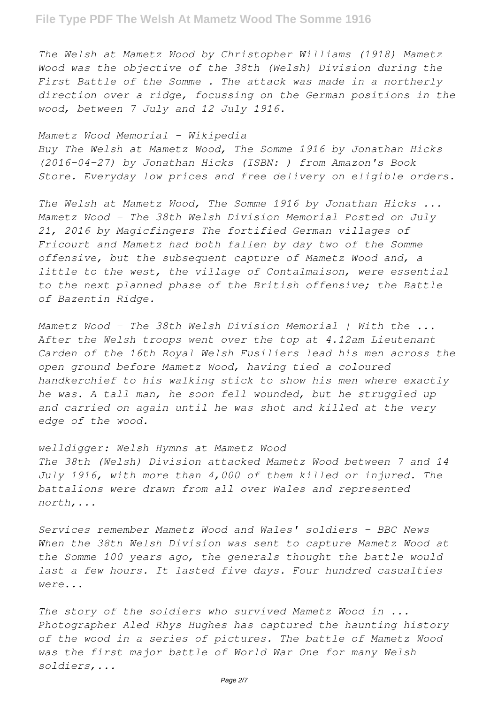*The Welsh at Mametz Wood by Christopher Williams (1918) Mametz Wood was the objective of the 38th (Welsh) Division during the First Battle of the Somme . The attack was made in a northerly direction over a ridge, focussing on the German positions in the wood, between 7 July and 12 July 1916.*

## *Mametz Wood Memorial - Wikipedia*

*Buy The Welsh at Mametz Wood, The Somme 1916 by Jonathan Hicks (2016-04-27) by Jonathan Hicks (ISBN: ) from Amazon's Book Store. Everyday low prices and free delivery on eligible orders.*

*The Welsh at Mametz Wood, The Somme 1916 by Jonathan Hicks ... Mametz Wood – The 38th Welsh Division Memorial Posted on July 21, 2016 by Magicfingers The fortified German villages of Fricourt and Mametz had both fallen by day two of the Somme offensive, but the subsequent capture of Mametz Wood and, a little to the west, the village of Contalmaison, were essential to the next planned phase of the British offensive; the Battle of Bazentin Ridge.*

*Mametz Wood – The 38th Welsh Division Memorial | With the ... After the Welsh troops went over the top at 4.12am Lieutenant Carden of the 16th Royal Welsh Fusiliers lead his men across the open ground before Mametz Wood, having tied a coloured handkerchief to his walking stick to show his men where exactly he was. A tall man, he soon fell wounded, but he struggled up and carried on again until he was shot and killed at the very edge of the wood.*

*welldigger: Welsh Hymns at Mametz Wood The 38th (Welsh) Division attacked Mametz Wood between 7 and 14 July 1916, with more than 4,000 of them killed or injured. The battalions were drawn from all over Wales and represented north,...*

*Services remember Mametz Wood and Wales' soldiers - BBC News When the 38th Welsh Division was sent to capture Mametz Wood at the Somme 100 years ago, the generals thought the battle would last a few hours. It lasted five days. Four hundred casualties were...*

*The story of the soldiers who survived Mametz Wood in ... Photographer Aled Rhys Hughes has captured the haunting history of the wood in a series of pictures. The battle of Mametz Wood was the first major battle of World War One for many Welsh soldiers,...*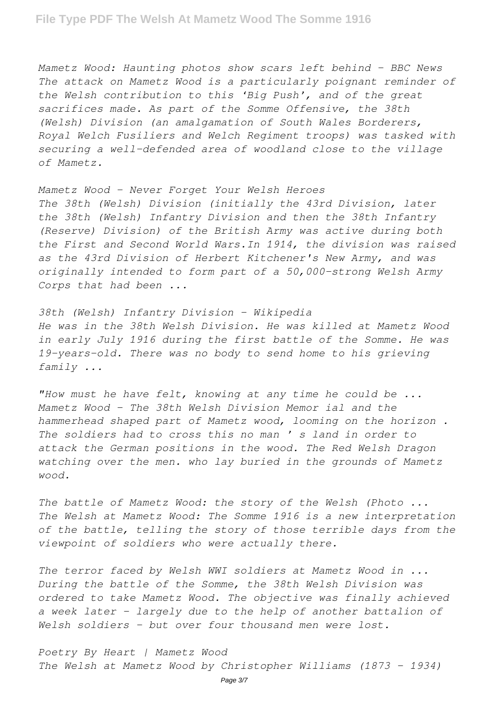*Mametz Wood: Haunting photos show scars left behind - BBC News The attack on Mametz Wood is a particularly poignant reminder of the Welsh contribution to this 'Big Push', and of the great sacrifices made. As part of the Somme Offensive, the 38th (Welsh) Division (an amalgamation of South Wales Borderers, Royal Welch Fusiliers and Welch Regiment troops) was tasked with securing a well-defended area of woodland close to the village of Mametz.*

*Mametz Wood - Never Forget Your Welsh Heroes The 38th (Welsh) Division (initially the 43rd Division, later the 38th (Welsh) Infantry Division and then the 38th Infantry (Reserve) Division) of the British Army was active during both the First and Second World Wars.In 1914, the division was raised as the 43rd Division of Herbert Kitchener's New Army, and was originally intended to form part of a 50,000-strong Welsh Army Corps that had been ...*

*38th (Welsh) Infantry Division - Wikipedia He was in the 38th Welsh Division. He was killed at Mametz Wood in early July 1916 during the first battle of the Somme. He was 19-years-old. There was no body to send home to his grieving family ...*

*"How must he have felt, knowing at any time he could be ... Mametz Wood - The 38th Welsh Division Memor ial and the hammerhead shaped part of Mametz wood, looming on the horizon . The soldiers had to cross this no man ' s land in order to attack the German positions in the wood. The Red Welsh Dragon watching over the men. who lay buried in the grounds of Mametz wood.*

*The battle of Mametz Wood: the story of the Welsh (Photo ... The Welsh at Mametz Wood: The Somme 1916 is a new interpretation of the battle, telling the story of those terrible days from the viewpoint of soldiers who were actually there.*

*The terror faced by Welsh WWI soldiers at Mametz Wood in ... During the battle of the Somme, the 38th Welsh Division was ordered to take Mametz Wood. The objective was finally achieved a week later – largely due to the help of another battalion of Welsh soldiers – but over four thousand men were lost.*

*Poetry By Heart | Mametz Wood The Welsh at Mametz Wood by Christopher Williams (1873 – 1934)*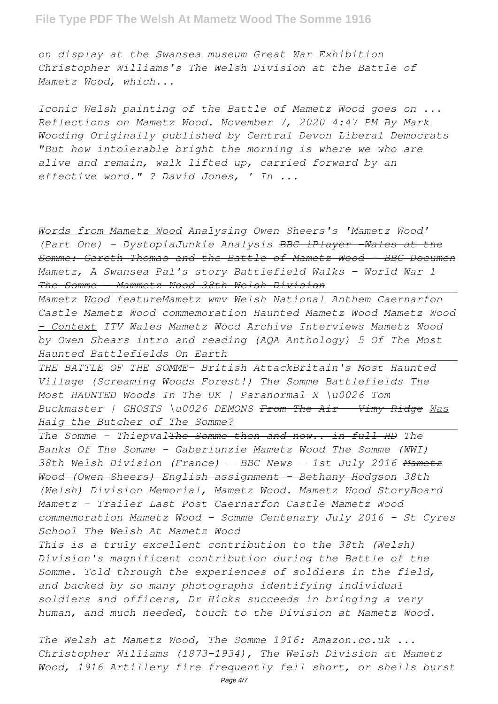## **File Type PDF The Welsh At Mametz Wood The Somme 1916**

*on display at the Swansea museum Great War Exhibition Christopher Williams's The Welsh Division at the Battle of Mametz Wood, which...*

*Iconic Welsh painting of the Battle of Mametz Wood goes on ... Reflections on Mametz Wood. November 7, 2020 4:47 PM By Mark Wooding Originally published by Central Devon Liberal Democrats "But how intolerable bright the morning is where we who are alive and remain, walk lifted up, carried forward by an effective word." ? David Jones, ' In ...*

*Words from Mametz Wood Analysing Owen Sheers's 'Mametz Wood' (Part One) - DystopiaJunkie Analysis BBC iPlayer -Wales at the Somme: Gareth Thomas and the Battle of Mametz Wood - BBC Documen Mametz, A Swansea Pal's story Battlefield Walks - World War 1 The Somme - Mammetz Wood 38th Welsh Division*

*Mametz Wood featureMametz wmv Welsh National Anthem Caernarfon Castle Mametz Wood commemoration Haunted Mametz Wood Mametz Wood - Context ITV Wales Mametz Wood Archive Interviews Mametz Wood by Owen Shears intro and reading (AQA Anthology) 5 Of The Most Haunted Battlefields On Earth*

*THE BATTLE OF THE SOMME- British AttackBritain's Most Haunted Village (Screaming Woods Forest!) The Somme Battlefields The Most HAUNTED Woods In The UK | Paranormal-X \u0026 Tom Buckmaster | GHOSTS \u0026 DEMONS From The Air - Vimy Ridge Was Haig the Butcher of The Somme?*

*The Somme - ThiepvalThe Somme then and now.. in full HD The Banks Of The Somme - Gaberlunzie Mametz Wood The Somme (WWI) 38th Welsh Division (France) - BBC News - 1st July 2016 Mametz Wood (Owen Sheers) English assignment - Bethany Hodgson 38th (Welsh) Division Memorial, Mametz Wood. Mametz Wood StoryBoard Mametz - Trailer Last Post Caernarfon Castle Mametz Wood commemoration Mametz Wood - Somme Centenary July 2016 - St Cyres School The Welsh At Mametz Wood*

*This is a truly excellent contribution to the 38th (Welsh) Division's magnificent contribution during the Battle of the Somme. Told through the experiences of soldiers in the field, and backed by so many photographs identifying individual soldiers and officers, Dr Hicks succeeds in bringing a very human, and much needed, touch to the Division at Mametz Wood.*

*The Welsh at Mametz Wood, The Somme 1916: Amazon.co.uk ... Christopher Williams (1873-1934), The Welsh Division at Mametz Wood, 1916 Artillery fire frequently fell short, or shells burst*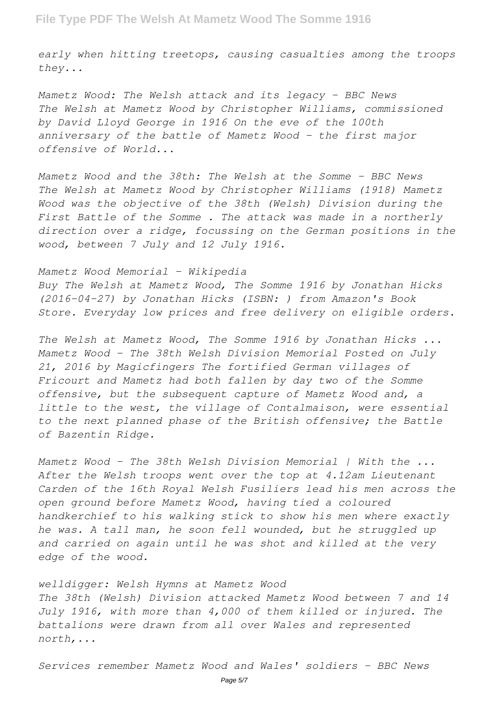*early when hitting treetops, causing casualties among the troops they...*

*Mametz Wood: The Welsh attack and its legacy - BBC News The Welsh at Mametz Wood by Christopher Williams, commissioned by David Lloyd George in 1916 On the eve of the 100th anniversary of the battle of Mametz Wood - the first major offensive of World...*

*Mametz Wood and the 38th: The Welsh at the Somme - BBC News The Welsh at Mametz Wood by Christopher Williams (1918) Mametz Wood was the objective of the 38th (Welsh) Division during the First Battle of the Somme . The attack was made in a northerly direction over a ridge, focussing on the German positions in the wood, between 7 July and 12 July 1916.*

*Mametz Wood Memorial - Wikipedia Buy The Welsh at Mametz Wood, The Somme 1916 by Jonathan Hicks (2016-04-27) by Jonathan Hicks (ISBN: ) from Amazon's Book Store. Everyday low prices and free delivery on eligible orders.*

*The Welsh at Mametz Wood, The Somme 1916 by Jonathan Hicks ... Mametz Wood – The 38th Welsh Division Memorial Posted on July 21, 2016 by Magicfingers The fortified German villages of Fricourt and Mametz had both fallen by day two of the Somme offensive, but the subsequent capture of Mametz Wood and, a little to the west, the village of Contalmaison, were essential to the next planned phase of the British offensive; the Battle of Bazentin Ridge.*

*Mametz Wood – The 38th Welsh Division Memorial | With the ... After the Welsh troops went over the top at 4.12am Lieutenant Carden of the 16th Royal Welsh Fusiliers lead his men across the open ground before Mametz Wood, having tied a coloured handkerchief to his walking stick to show his men where exactly he was. A tall man, he soon fell wounded, but he struggled up and carried on again until he was shot and killed at the very edge of the wood.*

*welldigger: Welsh Hymns at Mametz Wood The 38th (Welsh) Division attacked Mametz Wood between 7 and 14 July 1916, with more than 4,000 of them killed or injured. The battalions were drawn from all over Wales and represented north,...*

*Services remember Mametz Wood and Wales' soldiers - BBC News*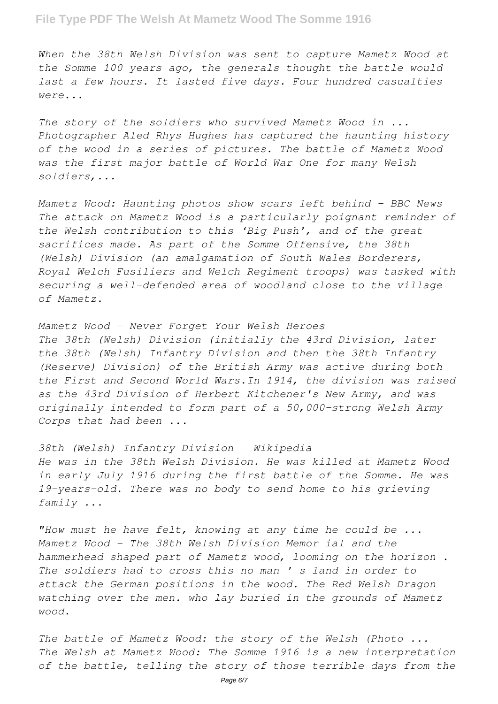## **File Type PDF The Welsh At Mametz Wood The Somme 1916**

*When the 38th Welsh Division was sent to capture Mametz Wood at the Somme 100 years ago, the generals thought the battle would last a few hours. It lasted five days. Four hundred casualties were...*

*The story of the soldiers who survived Mametz Wood in ... Photographer Aled Rhys Hughes has captured the haunting history of the wood in a series of pictures. The battle of Mametz Wood was the first major battle of World War One for many Welsh soldiers,...*

*Mametz Wood: Haunting photos show scars left behind - BBC News The attack on Mametz Wood is a particularly poignant reminder of the Welsh contribution to this 'Big Push', and of the great sacrifices made. As part of the Somme Offensive, the 38th (Welsh) Division (an amalgamation of South Wales Borderers, Royal Welch Fusiliers and Welch Regiment troops) was tasked with securing a well-defended area of woodland close to the village of Mametz.*

*Mametz Wood - Never Forget Your Welsh Heroes The 38th (Welsh) Division (initially the 43rd Division, later the 38th (Welsh) Infantry Division and then the 38th Infantry (Reserve) Division) of the British Army was active during both the First and Second World Wars.In 1914, the division was raised as the 43rd Division of Herbert Kitchener's New Army, and was originally intended to form part of a 50,000-strong Welsh Army Corps that had been ...*

*38th (Welsh) Infantry Division - Wikipedia He was in the 38th Welsh Division. He was killed at Mametz Wood in early July 1916 during the first battle of the Somme. He was 19-years-old. There was no body to send home to his grieving family ...*

*"How must he have felt, knowing at any time he could be ... Mametz Wood - The 38th Welsh Division Memor ial and the hammerhead shaped part of Mametz wood, looming on the horizon . The soldiers had to cross this no man ' s land in order to attack the German positions in the wood. The Red Welsh Dragon watching over the men. who lay buried in the grounds of Mametz wood.*

*The battle of Mametz Wood: the story of the Welsh (Photo ... The Welsh at Mametz Wood: The Somme 1916 is a new interpretation of the battle, telling the story of those terrible days from the*